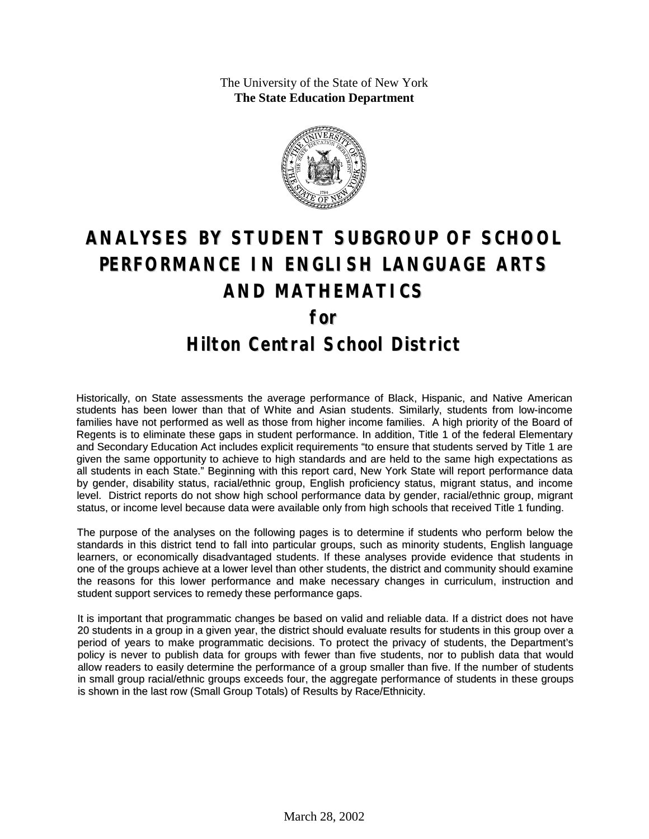The University of the State of New York **The State Education Department**



# **ANALYSES BY STUDENT SUBGROUP OF SCHOOL PERFORMANCE IN ENGLISH LANGUAGE ARTS AND MATHEMATICS for Hilton Central School District**

Historically, on State assessments the average performance of Black, Hispanic, and Native American students has been lower than that of White and Asian students. Similarly, students from low-income families have not performed as well as those from higher income families. A high priority of the Board of Regents is to eliminate these gaps in student performance. In addition, Title 1 of the federal Elementary and Secondary Education Act includes explicit requirements "to ensure that students served by Title 1 are given the same opportunity to achieve to high standards and are held to the same high expectations as all students in each State." Beginning with this report card, New York State will report performance data by gender, disability status, racial/ethnic group, English proficiency status, migrant status, and income level. District reports do not show high school performance data by gender, racial/ethnic group, migrant status, or income level because data were available only from high schools that received Title 1 funding.

The purpose of the analyses on the following pages is to determine if students who perform below the standards in this district tend to fall into particular groups, such as minority students, English language learners, or economically disadvantaged students. If these analyses provide evidence that students in one of the groups achieve at a lower level than other students, the district and community should examine the reasons for this lower performance and make necessary changes in curriculum, instruction and student support services to remedy these performance gaps.

It is important that programmatic changes be based on valid and reliable data. If a district does not have 20 students in a group in a given year, the district should evaluate results for students in this group over a period of years to make programmatic decisions. To protect the privacy of students, the Department's policy is never to publish data for groups with fewer than five students, nor to publish data that would allow readers to easily determine the performance of a group smaller than five. If the number of students in small group racial/ethnic groups exceeds four, the aggregate performance of students in these groups is shown in the last row (Small Group Totals) of Results by Race/Ethnicity.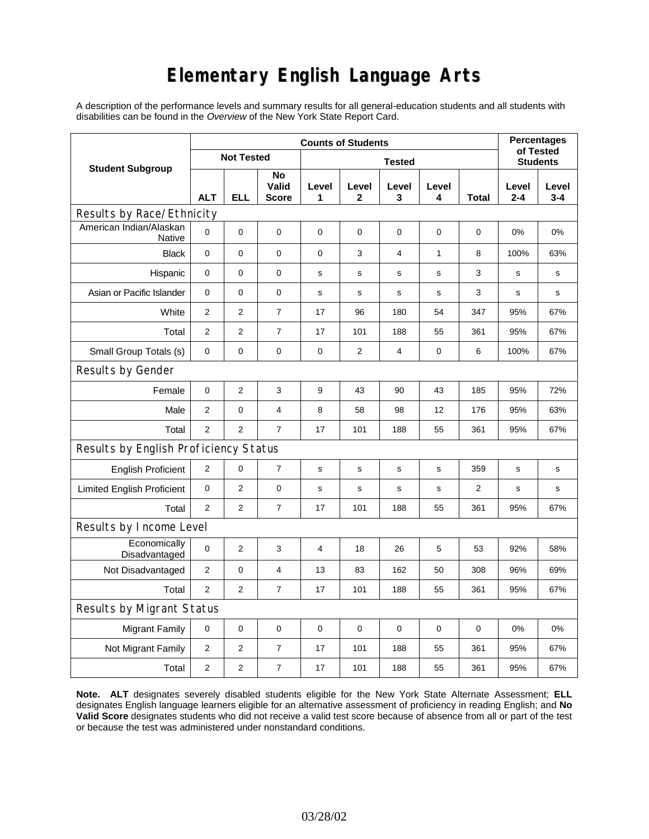### **Elementary English Language Arts**

A description of the performance levels and summary results for all general-education students and all students with disabilities can be found in the *Overview* of the New York State Report Card.

|                                       | <b>Counts of Students</b> |                   |                             |             |                       |                 |              |                | <b>Percentages</b><br>of Tested |                  |
|---------------------------------------|---------------------------|-------------------|-----------------------------|-------------|-----------------------|-----------------|--------------|----------------|---------------------------------|------------------|
| <b>Student Subgroup</b>               |                           | <b>Not Tested</b> |                             |             |                       | <b>Students</b> |              |                |                                 |                  |
|                                       | <b>ALT</b>                | <b>ELL</b>        | No<br>Valid<br><b>Score</b> | Level<br>1  | Level<br>$\mathbf{2}$ | Level<br>3      | Level<br>4   | <b>Total</b>   | Level<br>$2 - 4$                | Level<br>$3 - 4$ |
| Results by Race/Ethnicity             |                           |                   |                             |             |                       |                 |              |                |                                 |                  |
| American Indian/Alaskan<br>Native     | 0                         | 0                 | $\pmb{0}$                   | $\pmb{0}$   | $\mathbf 0$           | 0               | $\mathbf 0$  | 0              | 0%                              | 0%               |
| <b>Black</b>                          | 0                         | 0                 | 0                           | 0           | 3                     | 4               | $\mathbf{1}$ | 8              | 100%                            | 63%              |
| Hispanic                              | 0                         | 0                 | 0                           | s           | s                     | $\mathbf S$     | $\mathbf S$  | 3              | $\mathbf s$                     | s                |
| Asian or Pacific Islander             | $\mathbf 0$               | 0                 | 0                           | $\mathbf s$ | S                     | $\mathbf s$     | $\mathbf s$  | 3              | $\mathbf s$                     | $\mathbf s$      |
| White                                 | $\mathbf{2}$              | $\mathbf{2}$      | $\overline{7}$              | 17          | 96                    | 180             | 54           | 347            | 95%                             | 67%              |
| Total                                 | 2                         | 2                 | $\overline{7}$              | 17          | 101                   | 188             | 55           | 361            | 95%                             | 67%              |
| Small Group Totals (s)                | 0                         | 0                 | 0                           | 0           | $\overline{2}$        | 4               | 0            | 6              | 100%                            | 67%              |
| Results by Gender                     |                           |                   |                             |             |                       |                 |              |                |                                 |                  |
| Female                                | 0                         | $\overline{c}$    | 3                           | 9           | 43                    | 90              | 43           | 185            | 95%                             | 72%              |
| Male                                  | 2                         | 0                 | 4                           | 8           | 58                    | 98              | 12           | 176            | 95%                             | 63%              |
| Total                                 | $\overline{2}$            | $\overline{2}$    | $\overline{7}$              | 17          | 101                   | 188             | 55           | 361            | 95%                             | 67%              |
| Results by English Proficiency Status |                           |                   |                             |             |                       |                 |              |                |                                 |                  |
| <b>English Proficient</b>             | 2                         | 0                 | $\overline{7}$              | s           | S                     | s               | s            | 359            | s                               | $\mathbf s$      |
| <b>Limited English Proficient</b>     | 0                         | $\overline{2}$    | $\pmb{0}$                   | $\mathbf s$ | $\mathbf S$           | s               | s            | $\overline{2}$ | s                               | s                |
| Total                                 | 2                         | 2                 | $\overline{7}$              | 17          | 101                   | 188             | 55           | 361            | 95%                             | 67%              |
| Results by Income Level               |                           |                   |                             |             |                       |                 |              |                |                                 |                  |
| Economically<br>Disadvantaged         | $\pmb{0}$                 | 2                 | 3                           | 4           | 18                    | 26              | 5            | 53             | 92%                             | 58%              |
| Not Disadvantaged                     | 2                         | 0                 | 4                           | 13          | 83                    | 162             | 50           | 308            | 96%                             | 69%              |
| Total                                 | $\overline{2}$            | 2                 | $\overline{7}$              | 17          | 101                   | 188             | 55           | 361            | 95%                             | 67%              |
| Results by Migrant Status             |                           |                   |                             |             |                       |                 |              |                |                                 |                  |
| Migrant Family                        | 0                         | 0                 | 0                           | 0           | 0                     | 0               | 0            | 0              | 0%                              | 0%               |
| Not Migrant Family                    | $\overline{2}$            | $\overline{2}$    | $\boldsymbol{7}$            | 17          | 101                   | 188             | 55           | 361            | 95%                             | 67%              |
| Total                                 | $\overline{2}$            | $\overline{2}$    | $\overline{7}$              | 17          | 101                   | 188             | 55           | 361            | 95%                             | 67%              |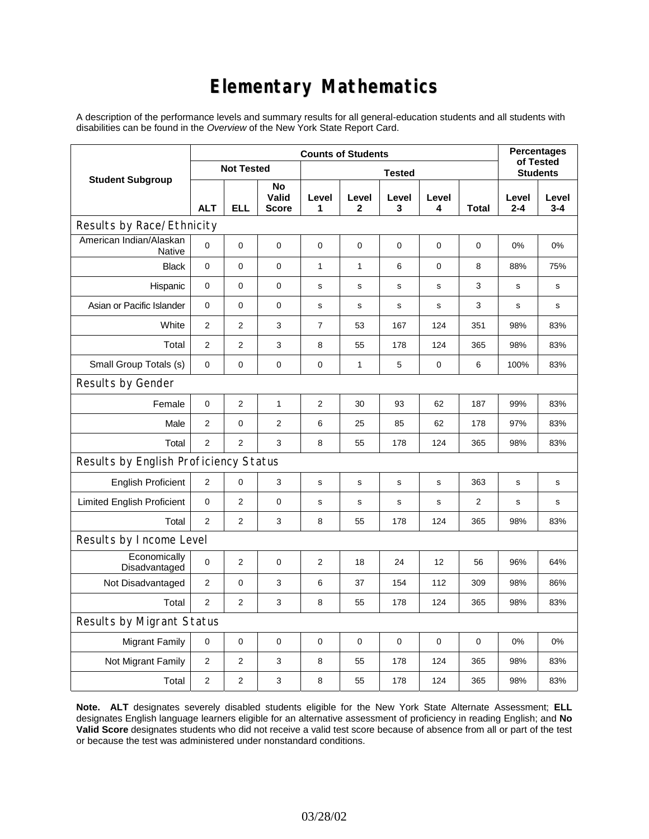### **Elementary Mathematics**

A description of the performance levels and summary results for all general-education students and all students with disabilities can be found in the *Overview* of the New York State Report Card.

|                                          | <b>Counts of Students</b> |                   |                             |                |              |             |                 |              | <b>Percentages</b><br>of Tested |                  |
|------------------------------------------|---------------------------|-------------------|-----------------------------|----------------|--------------|-------------|-----------------|--------------|---------------------------------|------------------|
| <b>Student Subgroup</b>                  |                           | <b>Not Tested</b> |                             |                |              |             | <b>Students</b> |              |                                 |                  |
|                                          | <b>ALT</b>                | <b>ELL</b>        | No<br>Valid<br><b>Score</b> | Level<br>1     | Level<br>2   | Level<br>3  | Level<br>4      | <b>Total</b> | Level<br>$2 - 4$                | Level<br>$3 - 4$ |
| Results by Race/Ethnicity                |                           |                   |                             |                |              |             |                 |              |                                 |                  |
| American Indian/Alaskan<br><b>Native</b> | 0                         | $\mathbf 0$       | $\mathbf 0$                 | 0              | 0            | 0           | 0               | 0            | 0%                              | 0%               |
| <b>Black</b>                             | 0                         | 0                 | $\pmb{0}$                   | $\mathbf{1}$   | $\mathbf{1}$ | 6           | $\mathbf 0$     | 8            | 88%                             | 75%              |
| Hispanic                                 | 0                         | 0                 | $\mathbf 0$                 | $\mathbf s$    | $\mathbf s$  | $\mathbf s$ | $\mathbf s$     | 3            | $\mathbf s$                     | s                |
| Asian or Pacific Islander                | 0                         | 0                 | $\mathbf 0$                 | s              | $\mathbf s$  | s           | s               | 3            | s                               | s                |
| White                                    | $\overline{2}$            | $\overline{2}$    | 3                           | $\overline{7}$ | 53           | 167         | 124             | 351          | 98%                             | 83%              |
| Total                                    | $\overline{2}$            | $\overline{2}$    | 3                           | 8              | 55           | 178         | 124             | 365          | 98%                             | 83%              |
| Small Group Totals (s)                   | $\mathbf 0$               | 0                 | $\mathbf 0$                 | $\pmb{0}$      | $\mathbf{1}$ | 5           | 0               | 6            | 100%                            | 83%              |
| Results by Gender                        |                           |                   |                             |                |              |             |                 |              |                                 |                  |
| Female                                   | 0                         | $\overline{c}$    | $\mathbf{1}$                | $\overline{c}$ | 30           | 93          | 62              | 187          | 99%                             | 83%              |
| Male                                     | $\overline{2}$            | 0                 | $\overline{c}$              | 6              | 25           | 85          | 62              | 178          | 97%                             | 83%              |
| Total                                    | $\overline{2}$            | $\overline{2}$    | 3                           | 8              | 55           | 178         | 124             | 365          | 98%                             | 83%              |
| Results by English Proficiency Status    |                           |                   |                             |                |              |             |                 |              |                                 |                  |
| <b>English Proficient</b>                | 2                         | 0                 | 3                           | $\mathbf s$    | S            | s           | s               | 363          | s                               | $\mathbf s$      |
| <b>Limited English Proficient</b>        | 0                         | $\overline{2}$    | $\mathbf 0$                 | s              | s            | s           | s               | 2            | s                               | s                |
| Total                                    | $\overline{2}$            | $\overline{2}$    | 3                           | 8              | 55           | 178         | 124             | 365          | 98%                             | 83%              |
| Results by Income Level                  |                           |                   |                             |                |              |             |                 |              |                                 |                  |
| Economically<br>Disadvantaged            | 0                         | $\overline{c}$    | $\mathbf 0$                 | 2              | 18           | 24          | 12              | 56           | 96%                             | 64%              |
| Not Disadvantaged                        | $\overline{2}$            | 0                 | 3                           | 6              | 37           | 154         | 112             | 309          | 98%                             | 86%              |
| Total                                    | $\overline{2}$            | 2                 | 3                           | 8              | 55           | 178         | 124             | 365          | 98%                             | 83%              |
| Results by Migrant Status                |                           |                   |                             |                |              |             |                 |              |                                 |                  |
| <b>Migrant Family</b>                    | $\mathbf 0$               | 0                 | $\pmb{0}$                   | $\pmb{0}$      | $\mathbf 0$  | 0           | 0               | $\mathbf 0$  | 0%                              | 0%               |
| Not Migrant Family                       | $\overline{c}$            | 2                 | 3                           | 8              | 55           | 178         | 124             | 365          | 98%                             | 83%              |
| Total                                    | $\overline{2}$            | $\overline{2}$    | 3                           | 8              | 55           | 178         | 124             | 365          | 98%                             | 83%              |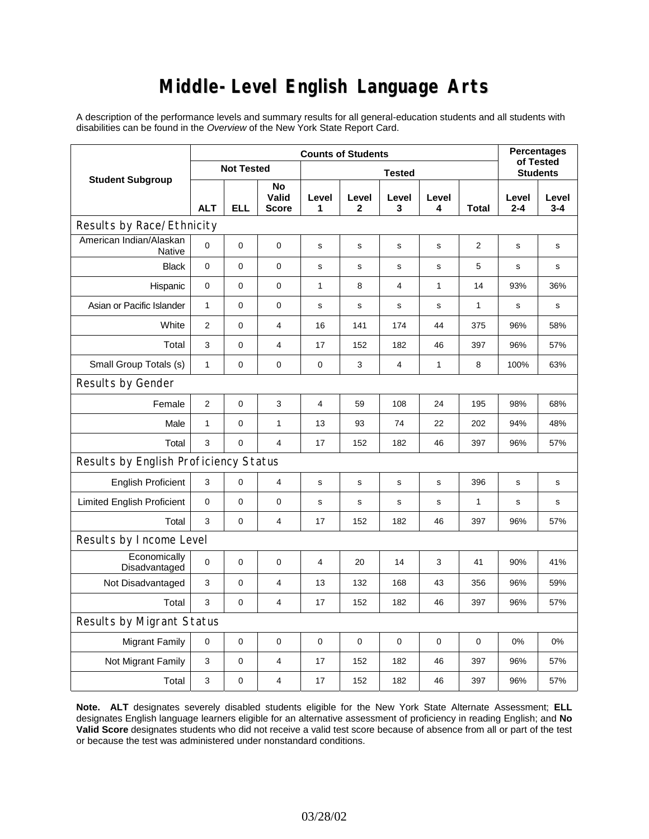## **Middle-Level English Language Arts**

A description of the performance levels and summary results for all general-education students and all students with disabilities can be found in the *Overview* of the New York State Report Card.

|                                          | <b>Counts of Students</b> |                   |                             |                |                       |             |                 |              | <b>Percentages</b><br>of Tested |                  |
|------------------------------------------|---------------------------|-------------------|-----------------------------|----------------|-----------------------|-------------|-----------------|--------------|---------------------------------|------------------|
| <b>Student Subgroup</b>                  |                           | <b>Not Tested</b> |                             |                |                       |             | <b>Students</b> |              |                                 |                  |
|                                          | <b>ALT</b>                | <b>ELL</b>        | No<br>Valid<br><b>Score</b> | Level<br>1     | Level<br>$\mathbf{2}$ | Level<br>3  | Level<br>4      | <b>Total</b> | Level<br>$2 - 4$                | Level<br>$3 - 4$ |
| Results by Race/Ethnicity                |                           |                   |                             |                |                       |             |                 |              |                                 |                  |
| American Indian/Alaskan<br><b>Native</b> | 0                         | $\mathbf 0$       | $\pmb{0}$                   | s              | s                     | s           | s               | 2            | s                               | s                |
| <b>Black</b>                             | $\mathbf 0$               | $\overline{0}$    | $\mathbf 0$                 | $\mathbf s$    | $\mathbf s$           | s           | $\mathbf s$     | 5            | s                               | s                |
| Hispanic                                 | 0                         | 0                 | $\pmb{0}$                   | $\mathbf{1}$   | 8                     | 4           | 1               | 14           | 93%                             | 36%              |
| Asian or Pacific Islander                | 1                         | 0                 | 0                           | $\mathbf s$    | $\mathbf s$           | $\mathbf s$ | $\mathbf s$     | 1            | $\mathbf s$                     | s                |
| White                                    | $\overline{2}$            | 0                 | $\overline{4}$              | 16             | 141                   | 174         | 44              | 375          | 96%                             | 58%              |
| Total                                    | 3                         | 0                 | $\overline{4}$              | 17             | 152                   | 182         | 46              | 397          | 96%                             | 57%              |
| Small Group Totals (s)                   | 1                         | 0                 | 0                           | 0              | 3                     | 4           | 1               | 8            | 100%                            | 63%              |
| Results by Gender                        |                           |                   |                             |                |                       |             |                 |              |                                 |                  |
| Female                                   | $\overline{2}$            | 0                 | 3                           | $\overline{4}$ | 59                    | 108         | 24              | 195          | 98%                             | 68%              |
| Male                                     | $\mathbf{1}$              | 0                 | $\mathbf{1}$                | 13             | 93                    | 74          | 22              | 202          | 94%                             | 48%              |
| Total                                    | 3                         | 0                 | $\overline{4}$              | 17             | 152                   | 182         | 46              | 397          | 96%                             | 57%              |
| Results by English Proficiency Status    |                           |                   |                             |                |                       |             |                 |              |                                 |                  |
| <b>English Proficient</b>                | 3                         | 0                 | $\overline{4}$              | s              | s                     | s           | s               | 396          | s                               | s                |
| <b>Limited English Proficient</b>        | 0                         | 0                 | $\pmb{0}$                   | $\mathbf s$    | $\mathbf s$           | $\mathbf s$ | $\mathbf s$     | $\mathbf{1}$ | s                               | s                |
| Total                                    | 3                         | $\mathbf 0$       | $\overline{4}$              | 17             | 152                   | 182         | 46              | 397          | 96%                             | 57%              |
| Results by Income Level                  |                           |                   |                             |                |                       |             |                 |              |                                 |                  |
| Economically<br>Disadvantaged            | $\mathbf 0$               | 0                 | $\mathbf 0$                 | 4              | 20                    | 14          | 3               | 41           | 90%                             | 41%              |
| Not Disadvantaged                        | 3                         | 0                 | $\overline{4}$              | 13             | 132                   | 168         | 43              | 356          | 96%                             | 59%              |
| Total                                    | 3                         | $\mathbf 0$       | $\overline{4}$              | 17             | 152                   | 182         | 46              | 397          | 96%                             | 57%              |
| Results by Migrant Status                |                           |                   |                             |                |                       |             |                 |              |                                 |                  |
| <b>Migrant Family</b>                    | $\mathbf 0$               | 0                 | $\pmb{0}$                   | $\pmb{0}$      | $\mathbf 0$           | 0           | 0               | 0            | 0%                              | 0%               |
| Not Migrant Family                       | 3                         | 0                 | 4                           | 17             | 152                   | 182         | 46              | 397          | 96%                             | 57%              |
| Total                                    | 3                         | $\mathsf 0$       | 4                           | 17             | 152                   | 182         | 46              | 397          | 96%                             | 57%              |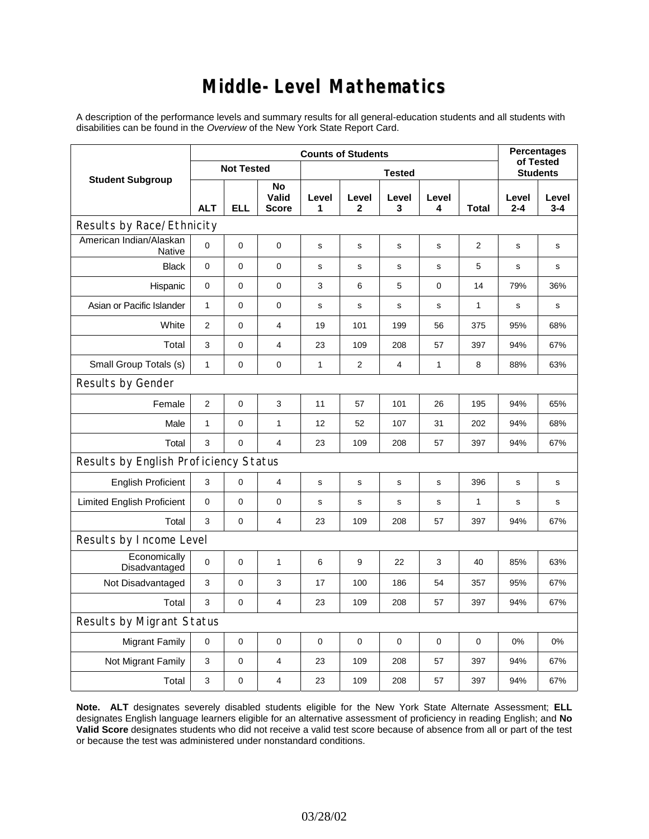### **Middle-Level Mathematics**

A description of the performance levels and summary results for all general-education students and all students with disabilities can be found in the *Overview* of the New York State Report Card.

|                                       | <b>Counts of Students</b> |                   |                             |              |                       |                |                 |              |                  | <b>Percentages</b><br>of Tested |
|---------------------------------------|---------------------------|-------------------|-----------------------------|--------------|-----------------------|----------------|-----------------|--------------|------------------|---------------------------------|
| <b>Student Subgroup</b>               |                           | <b>Not Tested</b> |                             |              |                       |                | <b>Students</b> |              |                  |                                 |
|                                       | <b>ALT</b>                | <b>ELL</b>        | No<br>Valid<br><b>Score</b> | Level<br>1   | Level<br>$\mathbf{2}$ | Level<br>3     | Level<br>4      | <b>Total</b> | Level<br>$2 - 4$ | Level<br>$3 - 4$                |
| Results by Race/Ethnicity             |                           |                   |                             |              |                       |                |                 |              |                  |                                 |
| American Indian/Alaskan<br>Native     | $\mathbf 0$               | 0                 | $\mathbf 0$                 | s            | $\mathbf s$           | $\mathbf s$    | s               | 2            | $\mathbf s$      | $\mathbf s$                     |
| <b>Black</b>                          | $\mathbf 0$               | 0                 | 0                           | $\mathbf s$  | $\mathbf s$           | ${\bf s}$      | $\mathbf s$     | 5            | s                | $\mathbf s$                     |
| Hispanic                              | 0                         | 0                 | 0                           | 3            | 6                     | 5              | 0               | 14           | 79%              | 36%                             |
| Asian or Pacific Islander             | $\mathbf{1}$              | 0                 | 0                           | s            | s                     | s              | s               | 1            | s                | s                               |
| White                                 | 2                         | 0                 | 4                           | 19           | 101                   | 199            | 56              | 375          | 95%              | 68%                             |
| Total                                 | 3                         | 0                 | 4                           | 23           | 109                   | 208            | 57              | 397          | 94%              | 67%                             |
| Small Group Totals (s)                | $\mathbf{1}$              | 0                 | $\pmb{0}$                   | $\mathbf{1}$ | $\overline{2}$        | $\overline{4}$ | $\mathbf{1}$    | 8            | 88%              | 63%                             |
| Results by Gender                     |                           |                   |                             |              |                       |                |                 |              |                  |                                 |
| Female                                | $\overline{2}$            | 0                 | 3                           | 11           | 57                    | 101            | 26              | 195          | 94%              | 65%                             |
| Male                                  | $\mathbf{1}$              | 0                 | 1                           | 12           | 52                    | 107            | 31              | 202          | 94%              | 68%                             |
| Total                                 | 3                         | 0                 | $\overline{4}$              | 23           | 109                   | 208            | 57              | 397          | 94%              | 67%                             |
| Results by English Proficiency Status |                           |                   |                             |              |                       |                |                 |              |                  |                                 |
| <b>English Proficient</b>             | 3                         | 0                 | $\overline{\mathbf{4}}$     | s            | ${\tt S}$             | s              | s               | 396          | s                | s                               |
| <b>Limited English Proficient</b>     | 0                         | 0                 | 0                           | $\mathbf s$  | s                     | $\mathbf s$    | $\mathbf s$     | $\mathbf{1}$ | $\mathbf s$      | s                               |
| Total                                 | 3                         | 0                 | 4                           | 23           | 109                   | 208            | 57              | 397          | 94%              | 67%                             |
| Results by Income Level               |                           |                   |                             |              |                       |                |                 |              |                  |                                 |
| Economically<br>Disadvantaged         | $\mathbf 0$               | 0                 | 1                           | 6            | 9                     | 22             | 3               | 40           | 85%              | 63%                             |
| Not Disadvantaged                     | 3                         | 0                 | 3                           | 17           | 100                   | 186            | 54              | 357          | 95%              | 67%                             |
| Total                                 | 3                         | 0                 | $\overline{4}$              | 23           | 109                   | 208            | 57              | 397          | 94%              | 67%                             |
| <b>Results by Migrant Status</b>      |                           |                   |                             |              |                       |                |                 |              |                  |                                 |
| <b>Migrant Family</b>                 | $\mathbf 0$               | 0                 | $\pmb{0}$                   | $\mathbf 0$  | $\mathbf 0$           | $\mathbf 0$    | 0               | 0            | 0%               | 0%                              |
| Not Migrant Family                    | 3                         | 0                 | 4                           | 23           | 109                   | 208            | 57              | 397          | 94%              | 67%                             |
| Total                                 | 3                         | 0                 | $\overline{4}$              | 23           | 109                   | 208            | 57              | 397          | 94%              | 67%                             |